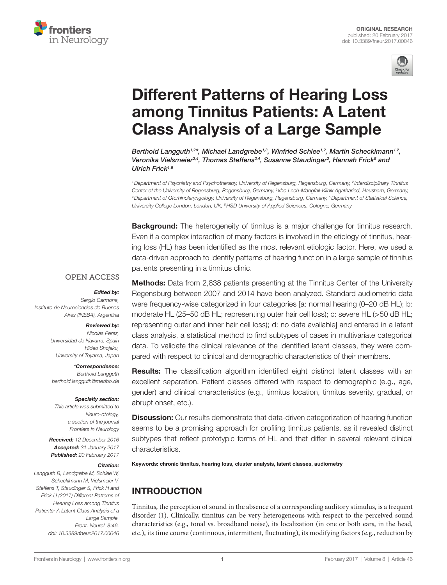



# **Different Patterns of Hearing Loss** among Tinnitus Patients: A Latent **Class Analysis of a Large Sample**

*[Berthold Langguth](http://loop.frontiersin.org/people/33917)1,2\*, Michael Landgrebe1,3, [Winfried Schlee1](http://loop.frontiersin.org/people/45949),2, [Martin Schecklmann](http://loop.frontiersin.org/people/47174)1,2, Veronika Vielsmeier2,4, [Thomas Steffens](http://loop.frontiersin.org/people/393688)2,4, [Susanne Staudinger2](http://loop.frontiersin.org/people/378538) , [Hannah Frick](http://loop.frontiersin.org/people/407056)5 and Ulrich Frick1,6*

*1Department of Psychiatry and Psychotherapy, University of Regensburg, Regensburg, Germany, 2 Interdisciplinary Tinnitus Center of the University of Regensburg, Regensburg, Germany, 3 kbo Lech-Mangfall-Klinik Agatharied, Hausham, Germany, 4Department of Otorhinolaryngology, University of Regensburg, Regensburg, Germany, 5Department of Statistical Science, University College London, London, UK, 6HSD University of Applied Sciences, Cologne, Germany*

**Background:** The heterogeneity of tinnitus is a major challenge for tinnitus research. Even if a complex interaction of many factors is involved in the etiology of tinnitus, hearing loss (HL) has been identified as the most relevant etiologic factor. Here, we used a data-driven approach to identify patterns of hearing function in a large sample of tinnitus patients presenting in a tinnitus clinic.

#### **OPEN ACCESS**

#### *Edited by:*

*Sergio Carmona, Instituto de Neurociencias de Buenos Aires (INEBA), Argentina*

#### *Reviewed by:*

*Nicolas Perez, Universidad de Navarra, Spain Hideo Shojaku, University of Toyama, Japan*

*\*Correspondence:*

*Berthold Langguth [berthold.langguth@medbo.de](mailto:berthold.langguth@medbo.de)*

#### *Specialty section:*

*This article was submitted to Neuro-otology, a section of the journal Frontiers in Neurology*

*Received: 12 December 2016 Accepted: 31 January 2017 Published: 20 February 2017*

#### *Citation:*

*Langguth B, Landgrebe M, Schlee W, Schecklmann M, Vielsmeier V, Steffens T, Staudinger S, Frick H and Frick U (2017) Different Patterns of Hearing Loss among Tinnitus Patients: A Latent Class Analysis of a Large Sample. Front. Neurol. 8:46. doi: [10.3389/fneur.2017.00046](https://doi.org/10.3389/fneur.2017.00046)*

**Methods:** Data from 2,838 patients presenting at the Tinnitus Center of the University Regensburg between 2007 and 2014 have been analyzed. Standard audiometric data were frequency-wise categorized in four categories [a: normal hearing (0–20 dB HL); b: moderate HL (25–50 dB HL; representing outer hair cell loss); c: severe HL (>50 dB HL; representing outer and inner hair cell loss); d: no data available] and entered in a latent class analysis, a statistical method to find subtypes of cases in multivariate categorical data. To validate the clinical relevance of the identified latent classes, they were compared with respect to clinical and demographic characteristics of their members.

**Results:** The classification algorithm identified eight distinct latent classes with an excellent separation. Patient classes differed with respect to demographic (e.g., age, gender) and clinical characteristics (e.g., tinnitus location, tinnitus severity, gradual, or abrupt onset, etc.).

**Discussion:** Our results demonstrate that data-driven categorization of hearing function seems to be a promising approach for profiling tinnitus patients, as it revealed distinct subtypes that reflect prototypic forms of HL and that differ in several relevant clinical characteristics.

Keywords: chronic tinnitus, hearing loss, cluster analysis, latent classes, audiometry

# INTRODUCTION

Tinnitus, the perception of sound in the absence of a corresponding auditory stimulus, is a frequent disorder [\(1\)](#page-7-0). Clinically, tinnitus can be very heterogeneous with respect to the perceived sound characteristics (e.g., tonal vs. broadband noise), its localization (in one or both ears, in the head, etc.), its time course (continuous, intermittent, fluctuating), its modifying factors (e.g., reduction by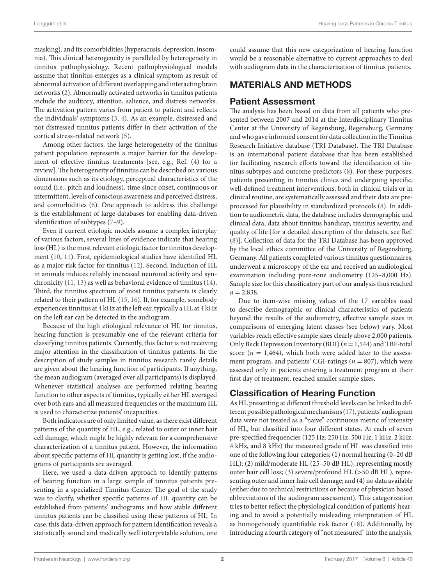masking), and its comorbidities (hyperacusis, depression, insomnia). This clinical heterogeneity is paralleled by heterogeneity in tinnitus pathophysiology. Recent pathophysiological models assume that tinnitus emerges as a clinical symptom as result of abnormal activation of different overlapping and interacting brain networks ([2](#page-7-1)). Abnormally activated networks in tinnitus patients include the auditory, attention, salience, and distress networks. The activation pattern varies from patient to patient and reflects the individuals' symptoms ([3](#page-7-2), [4\)](#page-7-3). As an example, distressed and not distressed tinnitus patients differ in their activation of the cortical stress-related network [\(5\)](#page-7-4).

Among other factors, the large heterogeneity of the tinnitus patient population represents a major barrier for the development of effective tinnitus treatments [see, e.g., Ref. ([4](#page-7-3)) for a review]. The heterogeneity of tinnitus can be described on various dimensions such as its etiology, perceptual characteristics of the sound (i.e., pitch and loudness), time since onset, continuous or intermittent, levels of conscious awareness and perceived distress, and comorbidities ([6\)](#page-7-5). One approach to address this challenge is the establishment of large databases for enabling data-driven identification of subtypes [\(7–](#page-7-6)[9](#page-7-7)).

Even if current etiologic models assume a complex interplay of various factors, several lines of evidence indicate that hearing loss (HL) is the most relevant etiologic factor for tinnitus development [\(10](#page-7-8), [11](#page-7-9)). First, epidemiological studies have identified HL as a major risk factor for tinnitus ([12\)](#page-7-10). Second, induction of HL in animals induces reliably increased neuronal activity and synchronicity [\(11](#page-7-9), [13\)](#page-7-11) as well as behavioral evidence of tinnitus ([14\)](#page-7-12). Third, the tinnitus spectrum of most tinnitus patients is clearly related to their pattern of HL ([15,](#page-7-13) [16](#page-7-14)). If, for example, somebody experiences tinnitus at 4 kHz at the left ear, typically a HL at 4 kHz on the left ear can be detected in the audiogram.

Because of the high etiological relevance of HL for tinnitus, hearing function is presumably one of the relevant criteria for classifying tinnitus patients. Currently, this factor is not receiving major attention in the classification of tinnitus patients. In the description of study samples in tinnitus research rarely details are given about the hearing function of participants. If anything, the mean audiogram (averaged over all participants) is displayed. Whenever statistical analyses are performed relating hearing function to other aspects of tinnitus, typically either HL averaged over both ears and all measured frequencies or the maximum HL is used to characterize patients' incapacities.

Both indicators are of only limited value, as there exist different patterns of the quantity of HL, e.g., related to outer or inner hair cell damage, which might be highly relevant for a comprehensive characterization of a tinnitus patient. However, the information about specific patterns of HL quantity is getting lost, if the audiograms of participants are averaged.

Here, we used a data-driven approach to identify patterns of hearing function in a large sample of tinnitus patients presenting in a specialized Tinnitus Center. The goal of the study was to clarify, whether specific patterns of HL quantity can be established from patients' audiograms and how stable different tinnitus patients can be classified using these patterns of HL. In case, this data-driven approach for pattern identification reveals a statistically sound and medically well interpretable solution, one could assume that this new categorization of hearing function would be a reasonable alternative to current approaches to deal with audiogram data in the characterization of tinnitus patients.

# MATERIALS AND METHODS

## Patient Assessment

The analysis has been based on data from all patients who presented between 2007 and 2014 at the Interdisciplinary Tinnitus Center at the University of Regensburg, Regensburg, Germany and who gave informed consent for data collection in the Tinnitus Research Initiative database (TRI Database). The TRI Database is an international patient database that has been established for facilitating research efforts toward the identification of tinnitus subtypes and outcome predictors ([8](#page-7-15)). For these purposes, patients presenting in tinnitus clinics and undergoing specific, well-defined treatment interventions, both in clinical trials or in clinical routine, are systematically assessed and their data are preprocessed for plausibility in standardized protocols ([8](#page-7-15)). In addition to audiometric data, the database includes demographic and clinical data, data about tinnitus handicap, tinnitus severity, and quality of life [for a detailed description of the datasets, see Ref. [\(8\)](#page-7-15)]. Collection of data for the TRI Database has been approved by the local ethics committee of the University of Regensburg, Germany. All patients completed various tinnitus questionnaires, underwent a microscopy of the ear and received an audiological examination including pure-tone audiometry (125–8,000 Hz). Sample size for this classificatory part of our analysis thus reached  $n = 2,838.$ 

Due to item-wise missing values of the 17 variables used to describe demographic or clinical characteristics of patients beyond the results of the audiometry, effective sample sizes in comparisons of emerging latent classes (see below) vary. Most variables reach effective sample sizes clearly above 2,000 patients. Only Beck Depression Inventory (BDI) (*n*= 1,544) and TBF-total score  $(n = 1,464)$ , which both were added later to the assessment program, and patients' CGI-ratings (*n* = 807), which were assessed only in patients entering a treatment program at their first day of treatment, reached smaller sample sizes.

# Classification of Hearing Function

As HL presenting at different threshold levels can be linked to different possible pathological mechanisms [\(17](#page-7-16)), patients' audiogram data were not treated as a "naive" continuous metric of intensity of HL, but classified into four different states. At each of seven pre-specified frequencies (125 Hz, 250 Hz, 500 Hz, 1 kHz, 2 kHz, 4 kHz, and 8 kHz) the measured grade of HL was classified into one of the following four categories: (1) normal hearing (0–20 dB HL); (2) mild/moderate HL (25–50 dB HL), representing mostly outer hair cell loss; (3) severe/profound HL (>50 dB HL), representing outer and inner hair cell damage; and (4) no data available (either due to technical restrictions or because of physician based abbreviations of the audiogram assessment). This categorization tries to better reflect the physiological condition of patients' hearing and to avoid a potentially misleading interpretation of HL as homogenously quantifiable risk factor ([18\)](#page-7-17). Additionally, by introducing a fourth category of "not measured" into the analysis,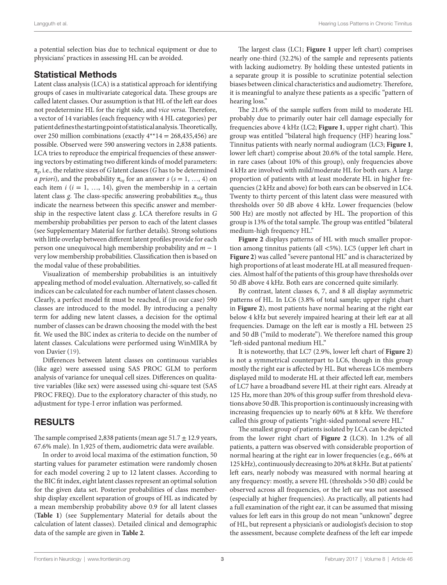a potential selection bias due to technical equipment or due to physicians' practices in assessing HL can be avoided.

## Statistical Methods

Latent class analysis (LCA) is a statistical approach for identifying groups of cases in multivariate categorical data. These groups are called latent classes. Our assumption is that HL of the left ear does not predetermine HL for the right side, and *vice versa*. Therefore, a vector of 14 variables (each frequency with 4 HL categories) per patient defines the starting point of statistical analysis. Theoretically, over 250 million combinations (exactly  $4**14 = 268,435,456$ ) are possible. Observed were 590 answering vectors in 2,838 patients. LCA tries to reproduce the empirical frequencies of these answering vectors by estimating two different kinds of model parameters: π*g*, i.e., the relative sizes of *G* latent classes (*G* has to be determined *a priori*), and the probability  $\pi_{\text{isg}}$  for an answer *s* ( $s = 1, ..., 4$ ) on each item  $i$  ( $i = 1, ..., 14$ ), given the membership in a certain latent class *g*. The class-specific answering probabilities  $\pi_{ix|g}$  thus indicate the nearness between this specific answer and membership in the respective latent class *g*. LCA therefore results in *G* membership probabilities per person to each of the latent classes (see Supplementary Material for further details). Strong solutions with little overlap between different latent profiles provide for each person one unequivocal high membership probability and *m* − 1 very low membership probabilities. Classification then is based on the modal value of these probabilities.

Visualization of membership probabilities is an intuitively appealing method of model evaluation. Alternatively, so-called fit indices can be calculated for each number of latent classes chosen. Clearly, a perfect model fit must be reached, if (in our case) 590 classes are introduced to the model. By introducing a penalty term for adding new latent classes, a decision for the optimal number of classes can be drawn choosing the model with the best fit. We used the BIC index as criteria to decide on the number of latent classes. Calculations were performed using WinMIRA by von Davier ([19\)](#page-7-18).

Differences between latent classes on continuous variables (like age) were assessed using SAS PROC GLM to perform analysis of variance for unequal cell sizes. Differences on qualitative variables (like sex) were assessed using chi-square test (SAS PROC FREQ). Due to the exploratory character of this study, no adjustment for type-I error inflation was performed.

## RESULTS

The sample comprised 2,838 patients (mean age  $51.7 \pm 12.9$  years, 67.6% male). In 1,925 of them, audiometric data were available.

In order to avoid local maxima of the estimation function, 50 starting values for parameter estimation were randomly chosen for each model covering 2 up to 12 latent classes. According to the BIC fit index, eight latent classes represent an optimal solution for the given data set. Posterior probabilities of class membership display excellent separation of groups of HL as indicated by a mean membership probability above 0.9 for all latent classes (**[Table 1](#page-3-0)**) (see Supplementary Material for details about the calculation of latent classes). Detailed clinical and demographic data of the sample are given in **[Table 2](#page-4-0)**.

The largest class (LC1; **[Figure 1](#page-6-0)** upper left chart) comprises nearly one-third (32.2%) of the sample and represents patients with lacking audiometry. By holding these untested patients in a separate group it is possible to scrutinize potential selection biases between clinical characteristics and audiometry. Therefore, it is meaningful to analyze these patients as a specific "pattern of hearing loss."

The 21.6% of the sample suffers from mild to moderate HL probably due to primarily outer hair cell damage especially for frequencies above 4 kHz (LC2; **[Figure 1](#page-6-0)**, upper right chart). This group was entitled "bilateral high frequency (HF) hearing loss." Tinnitus patients with nearly normal audiogram (LC3; **[Figure 1](#page-6-0)**, lower left chart) comprise about 20.6% of the total sample. Here, in rare cases (about 10% of this group), only frequencies above 4 kHz are involved with mild/moderate HL for both ears. A large proportion of patients with at least moderate HL in higher frequencies (2 kHz and above) for both ears can be observed in LC4. Twenty to thirty percent of this latent class were measured with thresholds over 50 dB above 4 kHz. Lower frequencies (below 500 Hz) are mostly not affected by HL. The proportion of this group is 13% of the total sample. The group was entitled "bilateral medium-high frequency HL."

**[Figure 2](#page-6-1)** displays patterns of HL with much smaller proportion among tinnitus patients (all <5%). LC5 (upper left chart in **[Figure 2](#page-6-1)**) was called "severe pantonal HL" and is characterized by high proportions of at least moderate HL at all measured frequencies. Almost half of the patients of this group have thresholds over 50 dB above 4 kHz. Both ears are concerned quite similarly.

By contrast, latent classes 6, 7, and 8 all display asymmetric patterns of HL. In LC6 (3.8% of total sample; upper right chart in **[Figure 2](#page-6-1)**), most patients have normal hearing at the right ear below 4 kHz but severely impaired hearing at their left ear at all frequencies. Damage on the left ear is mostly a HL between 25 and 50 dB ("mild to moderate"). We therefore named this group "left-sided pantonal medium HL."

It is noteworthy, that LC7 (2.9%, lower left chart of **[Figure 2](#page-6-1)**) is not a symmetrical counterpart to LC6, though in this group mostly the right ear is affected by HL. But whereas LC6 members displayed mild to moderate HL at their affected left ear, members of LC7 have a broadband severe HL at their right ears. Already at 125 Hz, more than 20% of this group suffer from threshold elevations above 50 dB. This proportion is continuously increasing with increasing frequencies up to nearly 60% at 8 kHz. We therefore called this group of patients "right-sided pantonal severe HL."

The smallest group of patients isolated by LCA can be depicted from the lower right chart of **[Figure 2](#page-6-1)** (LC8). In 1.2% of all patients, a pattern was observed with considerable proportion of normal hearing at the right ear in lower frequencies (e.g., 66% at 125 kHz), continuously decreasing to 20% at 8 kHz. But at patients' left ears, nearly nobody was measured with normal hearing at any frequency: mostly, a severe HL (thresholds >50 dB) could be observed across all frequencies, or the left ear was not assessed (especially at higher frequencies). As practically, all patients had a full examination of the right ear, it can be assumed that missing values for left ears in this group do not mean "unknown" degree of HL, but represent a physician's or audiologist's decision to stop the assessment, because complete deafness of the left ear impede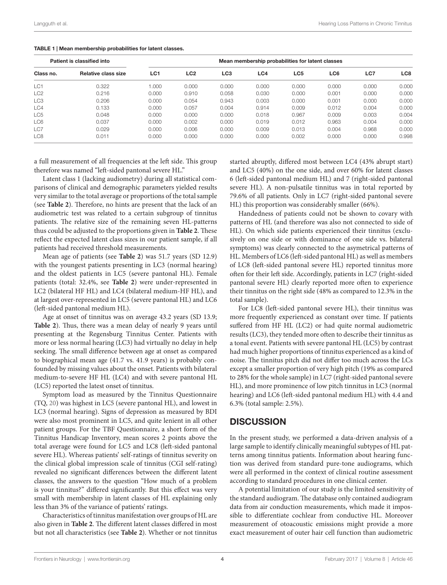|                 | Patient is classified into |                 |                 |                 |       | Mean membership probabilities for latent classes |       |       |                 |
|-----------------|----------------------------|-----------------|-----------------|-----------------|-------|--------------------------------------------------|-------|-------|-----------------|
| Class no.       | <b>Relative class size</b> | LC <sub>1</sub> | LC <sub>2</sub> | LC <sub>3</sub> | LC4   | LC <sub>5</sub>                                  | LC6   | LC7   | LC <sub>8</sub> |
| LC1             | 0.322                      | 1.000           | 0.000           | 0.000           | 0.000 | 0.000                                            | 0.000 | 0.000 | 0.000           |
| LC <sub>2</sub> | 0.216                      | 0.000           | 0.910           | 0.058           | 0.030 | 0.000                                            | 0.001 | 0.000 | 0.000           |
| LC <sub>3</sub> | 0.206                      | 0.000           | 0.054           | 0.943           | 0.003 | 0.000                                            | 0.001 | 0.000 | 0.000           |
| LC4             | 0.133                      | 0.000           | 0.057           | 0.004           | 0.914 | 0.009                                            | 0.012 | 0.004 | 0.000           |
| LC <sub>5</sub> | 0.048                      | 0.000           | 0.000           | 0.000           | 0.018 | 0.967                                            | 0.009 | 0.003 | 0.004           |
| LC6             | 0.037                      | 0.000           | 0.002           | 0.000           | 0.019 | 0.012                                            | 0.963 | 0.004 | 0.000           |
| LC7             | 0.029                      | 0.000           | 0.006           | 0.000           | 0.009 | 0.013                                            | 0.004 | 0.968 | 0.000           |
| LC <sub>8</sub> | 0.011                      | 0.000           | 0.000           | 0.000           | 0.000 | 0.002                                            | 0.000 | 0.000 | 0.998           |

#### <span id="page-3-0"></span>TABLE 1 | Mean membership probabilities for latent classes.

a full measurement of all frequencies at the left side. This group therefore was named "left-sided pantonal severe HL."

Latent class 1 (lacking audiometry) during all statistical comparisons of clinical and demographic parameters yielded results very similar to the total average or proportions of the total sample (see **[Table 2](#page-4-0)**). Therefore, no hints are present that the lack of an audiometric test was related to a certain subgroup of tinnitus patients. The relative size of the remaining seven HL-patterns thus could be adjusted to the proportions given in **[Table 2](#page-4-0)**. These reflect the expected latent class sizes in our patient sample, if all patients had received threshold measurements.

Mean age of patients (see **[Table 2](#page-4-0)**) was 51.7 years (SD 12.9) with the youngest patients presenting in LC3 (normal hearing) and the oldest patients in LC5 (severe pantonal HL). Female patients (total: 32.4%, see **[Table 2](#page-4-0)**) were under-represented in LC2 (bilateral HF HL) and LC4 (bilateral medium-HF HL), and at largest over-represented in LC5 (severe pantonal HL) and LC6 (left-sided pantonal medium HL).

Age at onset of tinnitus was on average 43.2 years (SD 13.9; **[Table 2](#page-4-0)**). Thus, there was a mean delay of nearly 9 years until presenting at the Regensburg Tinnitus Center. Patients with more or less normal hearing (LC3) had virtually no delay in help seeking. The small difference between age at onset as compared to biographical mean age (41.7 vs. 41.9 years) is probably confounded by missing values about the onset. Patients with bilateral medium-to-severe HF HL (LC4) and with severe pantonal HL (LC5) reported the latest onset of tinnitus.

Symptom load as measured by the Tinnitus Questionnaire (TQ, [20\)](#page-7-19) was highest in LC5 (severe pantonal HL), and lowest in LC3 (normal hearing). Signs of depression as measured by BDI were also most prominent in LC5, and quite lenient in all other patient groups. For the TBF Questionnaire, a short form of the Tinnitus Handicap Inventory, mean scores 2 points above the total average were found for LC5 and LC8 (left-sided pantonal severe HL). Whereas patients' self-ratings of tinnitus severity on the clinical global impression scale of tinnitus (CGI self-rating) revealed no significant differences between the different latent classes, the answers to the question "How much of a problem is your tinnitus?" differed significantly. But this effect was very small with membership in latent classes of HL explaining only less than 3% of the variance of patients' ratings.

Characteristics of tinnitus manifestation over groups of HL are also given in **[Table 2](#page-4-0)**. The different latent classes differed in most but not all characteristics (see **[Table 2](#page-4-0)**). Whether or not tinnitus started abruptly, differed most between LC4 (43% abrupt start) and LC5 (40%) on the one side, and over 60% for latent classes 6 (left-sided pantonal medium HL) and 7 (right-sided pantonal severe HL). A non-pulsatile tinnitus was in total reported by 79.6% of all patients. Only in LC7 (right-sided pantonal severe HL) this proportion was considerably smaller (66%).

Handedness of patients could not be shown to covary with patterns of HL (and therefore was also not connected to side of HL). On which side patients experienced their tinnitus (exclusively on one side or with dominance of one side vs. bilateral symptoms) was clearly connected to the asymetrical patterns of HL. Members of LC6 (left-sided pantonal HL) as well as members of LC8 (left-sided pantonal severe HL) reported tinnitus more often for their left side. Accordingly, patients in LC7 (right-sided pantonal severe HL) clearly reported more often to experience their tinnitus on the right side (48% as compared to 12.3% in the total sample).

For LC8 (left-sided pantonal severe HL), their tinnitus was more frequently experienced as constant over time. If patients suffered from HF HL (LC2) or had quite normal audiometric results (LC3), they tended more often to describe their tinnitus as a tonal event. Patients with severe pantonal HL (LC5) by contrast had much higher proportions of tinnitus experienced as a kind of noise. The tinnitus pitch did not differ too much across the LCs except a smaller proportion of very high pitch (19% as compared to 28% for the whole sample) in LC7 (right-sided pantonal severe HL), and more prominence of low pitch tinnitus in LC3 (normal hearing) and LC6 (left-sided pantonal medium HL) with 4.4 and 6.3% (total sample: 2.5%).

#### **DISCUSSION**

In the present study, we performed a data-driven analysis of a large sample to identify clinically meaningful subtypes of HL patterns among tinnitus patients. Information about hearing function was derived from standard pure-tone audiograms, which were all performed in the context of clinical routine assessment according to standard procedures in one clinical center.

A potential limitation of our study is the limited sensitivity of the standard audiogram. The database only contained audiogram data from air conduction measurements, which made it impossible to differentiate cochlear from conductive HL. Moreover measurement of otoacoustic emissions might provide a more exact measurement of outer hair cell function than audiometric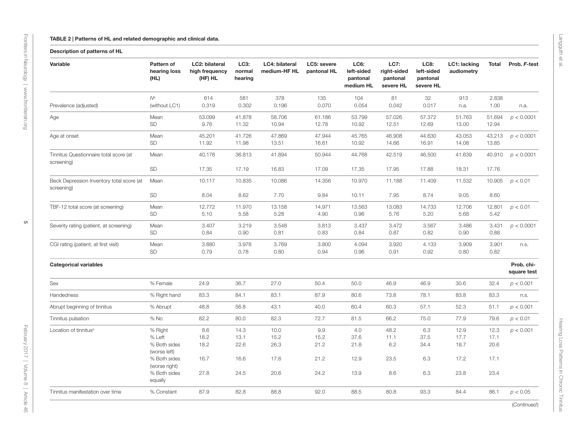#### TABLE 2 | Patterns of HL and related demographic and clinical data.

#### Description of patterns of HL

<span id="page-4-0"></span>

| Variable                                                | Pattern of<br>hearing loss<br>(HL)            | LC2: bilateral<br>high frequency<br>(HF) HL | LC3:<br>normal<br>hearing | LC4: bilateral<br>medium-HF HL | LC5: severe<br>pantonal HL | LC6:<br>left-sided<br>pantonal<br>medium HL | LC7:<br>right-sided<br>pantonal<br>severe HL | LC8:<br>left-sided<br>pantonal<br>severe HL | LC1: lacking<br>audiometry | Total                | Prob. F-test              |
|---------------------------------------------------------|-----------------------------------------------|---------------------------------------------|---------------------------|--------------------------------|----------------------------|---------------------------------------------|----------------------------------------------|---------------------------------------------|----------------------------|----------------------|---------------------------|
| Prevalence (adjusted)                                   | $N^{\rm a}$<br>(without LC1)                  | 614<br>0.319                                | 581<br>0.302              | 378<br>0.196                   | 135<br>0.070               | 104<br>0.054                                | 81<br>0.042                                  | 32<br>0.017                                 | 913<br>n.a.                | 2.838<br>1.00        | n.a.                      |
|                                                         |                                               |                                             |                           |                                |                            |                                             |                                              |                                             |                            |                      |                           |
| Age                                                     | Mean<br>SD                                    | 53.099<br>9.76                              | 41.878<br>11.32           | 58.706<br>10.94                | 61.186<br>12.78            | 53.799<br>10.92                             | 57.026<br>12.51                              | 57.372<br>12.69                             | 51.763<br>13.00            | 51.694<br>12.94      | p < 0.0001                |
| Age at onset                                            | Mean<br><b>SD</b>                             | 45.201<br>11.92                             | 41.726<br>11.98           | 47.869<br>13.51                | 47.944<br>16.61            | 45.765<br>10.92                             | 46.908<br>14.66                              | 44.630<br>16.91                             | 43.053<br>14.08            | 43.213<br>13.85      | p < 0.0001                |
| Tinnitus Questionnaire total score (at<br>screening)    | Mean                                          | 40.178                                      | 36.813                    | 41.894                         | 50.944                     | 44.768                                      | 42.519                                       | 46.500                                      | 41.639                     | 40.910               | p < 0.0001                |
|                                                         | SD                                            | 17.35                                       | 17.19                     | 16.83                          | 17.09                      | 17.35                                       | 17.95                                        | 17.88                                       | 18.31                      | 17.76                |                           |
| Beck Depression Inventory total score (at<br>screening) | Mean                                          | 10.117                                      | 10.835                    | 10.086                         | 14.356                     | 10.970                                      | 11.188                                       | 11.409                                      | 11.532                     | 10.905               | p < 0.01                  |
|                                                         | <b>SD</b>                                     | 8.04                                        | 8.62                      | 7.70                           | 9.84                       | 10.11                                       | 7.95                                         | 8.74                                        | 9.05                       | 8.60                 |                           |
| TBF-12 total score (at screening)                       | Mean<br>SD                                    | 12.772<br>5.10                              | 11.970<br>5.58            | 13.158<br>5.28                 | 14.971<br>4.90             | 13.563<br>0.96                              | 13.083<br>5.76                               | 14.733<br>5.20                              | 12.706<br>5.68             | 12.801<br>5.42       | p < 0.01                  |
|                                                         |                                               |                                             |                           |                                |                            |                                             |                                              |                                             |                            |                      |                           |
| Severity rating (patient, at screening)                 | Mean<br><b>SD</b>                             | 3.407<br>0.84                               | 3.219<br>0.90             | 3.548<br>0.81                  | 3.813<br>0.83              | 3.437<br>0.84                               | 3.472<br>0.87                                | 3.567<br>0.82                               | 3.486<br>0.90              | 3.431<br>0.88        | p < 0.0001                |
| CGI rating (patient, at first visit)                    | Mean<br>SD                                    | 3.880<br>0.79                               | 3.978<br>0.78             | 3.769<br>0.80                  | 3.800<br>0.94              | 4.094<br>0.96                               | 3.920<br>0.91                                | 4.133<br>0.92                               | 3.909<br>0.80              | 3.901<br>0.82        | n.s.                      |
| <b>Categorical variables</b>                            |                                               |                                             |                           |                                |                            |                                             |                                              |                                             |                            |                      | Prob. chi-<br>square test |
| Sex                                                     | % Female                                      | 24.9                                        | 36.7                      | 27.0                           | 50.4                       | 50.0                                        | 46.9                                         | 46.9                                        | 30.6                       | 32.4                 | p < 0.001                 |
| Handedness                                              | % Right hand                                  | 83.3                                        | 84.1                      | 83.1                           | 87.9                       | 80.6                                        | 73.8                                         | 78.1                                        | 83.8                       | 83.3                 | n.s.                      |
| Abrupt beginning of tinnitus                            | % Abrupt                                      | 48.8                                        | 56.8                      | 43.1                           | 40.0                       | 60.4                                        | 60.3                                         | 57.1                                        | 52.3                       | 51.1                 | p < 0.001                 |
| Tinnitus pulsation                                      | $%$ No                                        | 82.2                                        | 80.0                      | 82.3                           | 72.7                       | 81.5                                        | 66.2                                         | 75.0                                        | 77.9                       | 79.6                 | p < 0.01                  |
| Location of tinnitus <sup>b</sup>                       | % Right<br>% Left<br>% Both sides             | 8.6<br>18.2<br>18.2                         | 14.3<br>13.1<br>22.6      | 10.0<br>15.2<br>26.3           | 9.9<br>15.2<br>21.2        | 4.0<br>37.6<br>21.8                         | 48.2<br>11.1<br>6.2                          | 6.3<br>37.5<br>34.4                         | 12.9<br>17.7<br>18.7       | 12.3<br>17.1<br>20.6 | p < 0.001                 |
|                                                         | (worse left)<br>% Both sides<br>(worse right) | 16.7                                        | 16.6                      | 17.6                           | 21.2                       | 12.9                                        | 23.5                                         | 6.3                                         | 17.2                       | 17.1                 |                           |
|                                                         | % Both sides<br>equally                       | 27.8                                        | 24.5                      | 20.6                           | 24.2                       | 13.9                                        | 8.6                                          | 6.3                                         | 23.8                       | 23.4                 |                           |
| Tinnitus manifestation over time                        | % Constant                                    | 87.9                                        | 82.8                      | 88.8                           | 92.0                       | 88.5                                        | 80.8                                         | 93.3                                        | 84.4                       | 86.1                 | p < 0.05                  |

(*Continued*)

Hearing Loss Patterns in Chronic Tinnitus

Hearing Loss Patterns in Chronic Tinnitus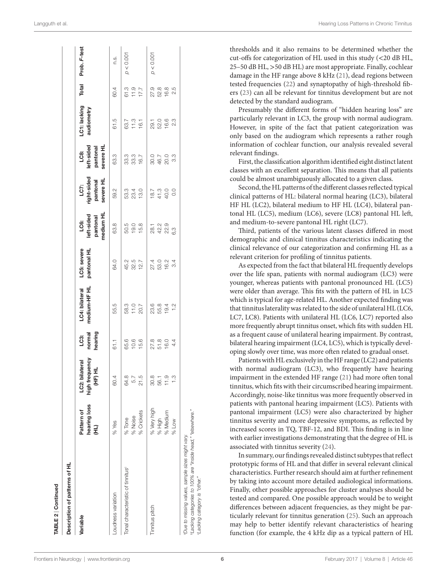| Description of patterns of HL                                                                                                |                                  |                                            |                                      |                                |                                                                          |                                                                                   |                                                                                                                                                                                                                                                                                                                     |                                                                                                                                                                                                                                                                                                                                                                                                      |                                                                                                                                                                                                                                                                                                                                                                                                 |                                  |               |
|------------------------------------------------------------------------------------------------------------------------------|----------------------------------|--------------------------------------------|--------------------------------------|--------------------------------|--------------------------------------------------------------------------|-----------------------------------------------------------------------------------|---------------------------------------------------------------------------------------------------------------------------------------------------------------------------------------------------------------------------------------------------------------------------------------------------------------------|------------------------------------------------------------------------------------------------------------------------------------------------------------------------------------------------------------------------------------------------------------------------------------------------------------------------------------------------------------------------------------------------------|-------------------------------------------------------------------------------------------------------------------------------------------------------------------------------------------------------------------------------------------------------------------------------------------------------------------------------------------------------------------------------------------------|----------------------------------|---------------|
| Variable                                                                                                                     | hearing loss<br>Pattern of<br>Э, | high frequency<br>LC2: bilateral<br>HE) HL | LC3:<br>normal<br>hearing            | LC4: bilateral<br>medium-HF HL | LC5: severe<br>pantonal HL                                               | medium HL<br>left-sided<br>pantonal<br>LC6:                                       | right-sided<br>severe HL<br>pantonal<br>LC7:                                                                                                                                                                                                                                                                        | LC8:<br>left-sided<br>pantonal                                                                                                                                                                                                                                                                                                                                                                       | C1: lacking<br>audiometry                                                                                                                                                                                                                                                                                                                                                                       | Total                            | Prob. F-test  |
| Loudness variation                                                                                                           | $%$ Yes                          | 60.4                                       | 61.1                                 | 55.5                           | 64.0                                                                     |                                                                                   | 59.2                                                                                                                                                                                                                                                                                                                | Severe HL<br>63.3                                                                                                                                                                                                                                                                                                                                                                                    | 61.5                                                                                                                                                                                                                                                                                                                                                                                            | 60.4                             | $\frac{3}{2}$ |
| Tonal characteristic of tinnitus <sup>®</sup>                                                                                | % Noise<br>% Tone                | 64.8<br>5.7                                | $65.6$<br>$19.6$<br>$19.6$           | 38.3<br>11.0<br>20.7           | $45.87$<br>$48.7$                                                        | $\begin{array}{c c} 8 & 5 & 0 \\ 6 & 0 & 0 \\ 5 & 0 & 0 \\ 0 & 0 & 0 \end{array}$ | $\begin{array}{c c c c c} 3 & 3 & 4 & 6 \\ 3 & 3 & 4 & 6 \\ 5 & 6 & 5 & 6 \\ 6 & 7 & 3 & 6 \\ 7 & 8 & 3 & 6 \\ 8 & 10 & 3 & 6 \\ 9 & 10 & 3 & 6 \\ 10 & 10 & 3 & 6 \\ 11 & 11 & 3 & 6 \\ 12 & 12 & 3 & 6 \\ 13 & 13 & 3 & 6 \\ 14 & 15 & 3 & 6 \\ 16 & 13 & 3 & 6 \\ 17 & 16 & 3 & 6 \\ 18 & 17 & 3 & 6 \\ 19 & 18$ | $\begin{array}{c c c c c} \mbox{\tiny{33.9}} & \mbox{\tiny{55.9}} & \mbox{\tiny{56.9}} & \mbox{\tiny{56.9}} \\ \mbox{\tiny{53.9}} & \mbox{\tiny{56.9}} & \mbox{\tiny{56.9}} & \mbox{\tiny{56.9}} & \mbox{\tiny{56.9}} \\ \mbox{\tiny{57.9}} & \mbox{\tiny{58.9}} & \mbox{\tiny{56.9}} & \mbox{\tiny{56.9}} & \mbox{\tiny{56.9}} \\ \mbox{\tiny{58.9}} & \mbox{\tiny{56.9}} & \mbox{\tiny{56.9}} & \$ | $\begin{array}{c c c c} \hline c_1 & c_2 & c_3 \\ \hline c_2 & c_3 & c_4 \\ \hline c_3 & c_4 & c_5 \\ \hline c_4 & c_5 & c_6 \\ \hline c_5 & c_6 & c_7 \\ \hline c_6 & c_7 & c_8 \\ \hline c_7 & c_8 & c_9 \\ \hline c_8 & c_9 & c_9 \\ \hline c_9 & c_9 & c_9 \\ \hline c_9 & c_9 & c_9 \\ \hline c_9 & c_9 & c_9 \\ \hline c_9 & c_9 & c_9 \\ \hline c_9 & c_9 & c_9 \\ \hline c_9 & c_9 & c$ | $67.7$<br>$67.7$<br>$67.7$       | p < 0.001     |
|                                                                                                                              | % Crickets                       | 21.5                                       |                                      |                                |                                                                          |                                                                                   |                                                                                                                                                                                                                                                                                                                     |                                                                                                                                                                                                                                                                                                                                                                                                      |                                                                                                                                                                                                                                                                                                                                                                                                 |                                  |               |
| innitus pitch                                                                                                                | % Very high                      | 30.8                                       |                                      |                                | $\begin{array}{c} 7.0000 \\ 0.0000 \\ -0.0000 \\ -0.0000 \\ \end{array}$ |                                                                                   |                                                                                                                                                                                                                                                                                                                     |                                                                                                                                                                                                                                                                                                                                                                                                      |                                                                                                                                                                                                                                                                                                                                                                                                 |                                  | p < 0.001     |
|                                                                                                                              | % Medium<br>% High               | 11.9<br>56.1                               | $27.8$<br>$60.9$<br>$61.4$<br>$41.4$ |                                |                                                                          | 1<br>8 2 3 9<br>8 4 8 6                                                           |                                                                                                                                                                                                                                                                                                                     |                                                                                                                                                                                                                                                                                                                                                                                                      |                                                                                                                                                                                                                                                                                                                                                                                                 | 0.<br>0. 0. 0. 0.<br>0. 0. 0. 0. |               |
|                                                                                                                              | Wo <sub>7</sub> %                | $\frac{3}{1}$                              |                                      |                                |                                                                          |                                                                                   |                                                                                                                                                                                                                                                                                                                     |                                                                                                                                                                                                                                                                                                                                                                                                      |                                                                                                                                                                                                                                                                                                                                                                                                 |                                  |               |
| <sup>b</sup> Lacking categories to 100% are "inside head," "elsewhere."<br>a Due to missing values, sample sizes might vary. |                                  |                                            |                                      |                                |                                                                          |                                                                                   |                                                                                                                                                                                                                                                                                                                     |                                                                                                                                                                                                                                                                                                                                                                                                      |                                                                                                                                                                                                                                                                                                                                                                                                 |                                  |               |

thresholds and it also remains to be determined whether the cut-offs for categorization of HL used in this study (<20 dB HL, 25–50 dB HL, >50 dB HL) are most appropriate. Finally, cochlear damage in the HF range above 8 kHz [\(21](#page-7-20)), dead regions between tested frequencies ([22\)](#page-7-21) and synaptopathy of high-threshold fibers [\(23](#page-7-22)) can all be relevant for tinnitus development but are not detected by the standard audiogram.

Presumably the different forms of "hidden hearing loss" are particularly relevant in LC3, the group with normal audiogram. However, in spite of the fact that patient categorization was only based on the audiogram which represents a rather rough information of cochlear function, our analysis revealed several relevant findings.

First, the classification algorithm identified eight distinct latent classes with an excellent separation. This means that all patients could be almost unambiguously allocated to a given class.

Second, the HL patterns of the different classes reflected typical clinical patterns of HL: bilateral normal hearing (LC3), bilateral HF HL (LC2), bilateral medium to HF HL (LC4), bilateral pantonal HL (LC5), medium (LC6), severe (LC8) pantonal HL left, and medium-to-severe pantonal HL right (LC7).

Third, patients of the various latent classes differed in most demographic and clinical tinnitus characteristics indicating the clinical relevance of our categorization and confirming HL as a relevant criterion for profiling of tinnitus patients.

As expected from the fact that bilateral HL frequently develops over the life span, patients with normal audiogram (LC3) were younger, whereas patients with pantonal pronounced HL (LC5) were older than average. This fits with the pattern of HL in LC5 which is typical for age-related HL. Another expected finding was that tinnitus laterality was related to the side of unilateral HL (LC6, LC7, LC8). Patients with unilateral HL (LC6, LC7) reported also more frequently abrupt tinnitus onset, which fits with sudden HL as a frequent cause of unilateral hearing impairment. By contrast, bilateral hearing impairment (LC4, LC5), which is typically developing slowly over time, was more often related to gradual onset.

Patients with HL exclusively in the HF range (LC2) and patients with normal audiogram (LC3), who frequently have hearing impairment in the extended HF range ([21\)](#page-7-20) had more often tonal tinnitus, which fits with their circumscribed hearing impairment. Accordingly, noise-like tinnitus was more frequently observed in patients with pantonal hearing impairment (LC5). Patients with pantonal impairment (LC5) were also characterized by higher tinnitus severity and more depressive symptoms, as reflected by increased scores in TQ, TBF-12, and BDI. This finding is in line with earlier investigations demonstrating that the degree of HL is associated with tinnitus severity ([24\)](#page-7-23).

In summary, our findings revealed distinct subtypes that reflect prototypic forms of HL and that differ in several relevant clinical characteristics. Further research should aim at further refinement by taking into account more detailed audiological informations. Finally, other possible approaches for cluster analyses should be tested and compared. One possible approach would be to weight differences between adjacent frequencies, as they might be particularly relevant for tinnitus generation ([25\)](#page-7-24). Such an approach may help to better identify relevant characteristics of hearing function (for example, the 4 kHz dip as a typical pattern of HL

[ABLE 2] Continued

BLE 2 | Continued

acking

*Lacking category is "other."*

category is "other.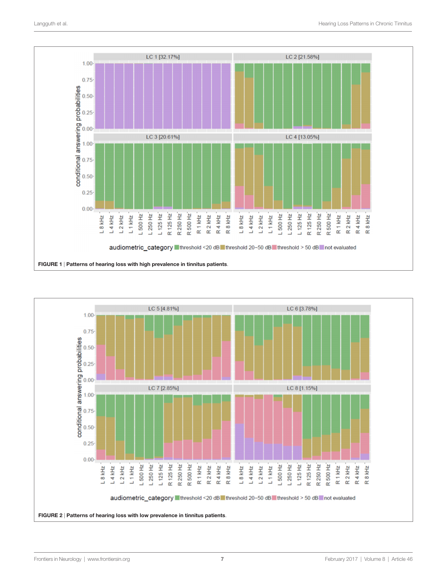

<span id="page-6-1"></span><span id="page-6-0"></span>